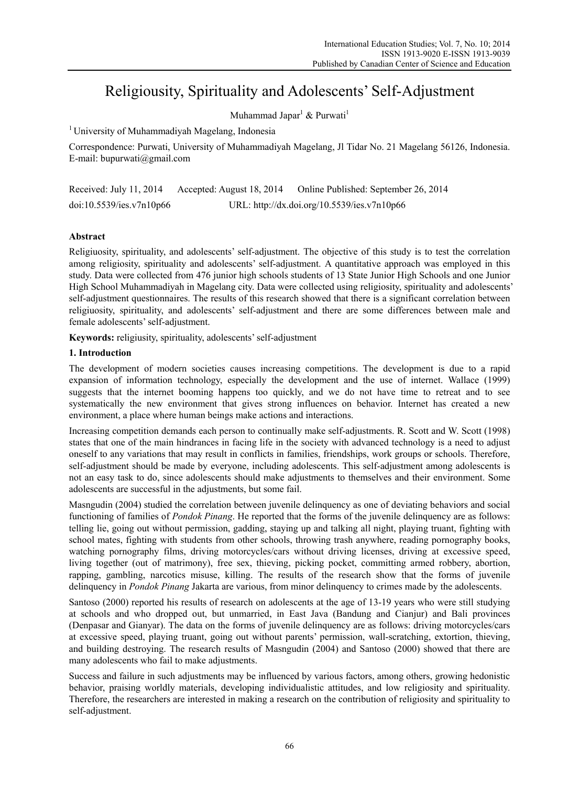# Religiousity, Spirituality and Adolescents' Self-Adjustment

Muhammad Japar<sup>1</sup> & Purwati<sup>1</sup>

<sup>1</sup> University of Muhammadiyah Magelang, Indonesia

Correspondence: Purwati, University of Muhammadiyah Magelang, Jl Tidar No. 21 Magelang 56126, Indonesia. E-mail: bupurwati@gmail.com

| Received: July 11, 2014  | Accepted: August 18, 2014                   | Online Published: September 26, 2014 |  |
|--------------------------|---------------------------------------------|--------------------------------------|--|
| doi:10.5539/ies.v7n10p66 | URL: http://dx.doi.org/10.5539/ies.v7n10p66 |                                      |  |

# **Abstract**

Religiuosity, spirituality, and adolescents' self-adjustment. The objective of this study is to test the correlation among religiosity, spirituality and adolescents' self-adjustment. A quantitative approach was employed in this study. Data were collected from 476 junior high schools students of 13 State Junior High Schools and one Junior High School Muhammadiyah in Magelang city. Data were collected using religiosity, spirituality and adolescents' self-adjustment questionnaires. The results of this research showed that there is a significant correlation between religiuosity, spirituality, and adolescents' self-adjustment and there are some differences between male and female adolescents' self-adjustment.

**Keywords:** religiusity, spirituality, adolescents' self-adjustment

## **1. Introduction**

The development of modern societies causes increasing competitions. The development is due to a rapid expansion of information technology, especially the development and the use of internet. Wallace (1999) suggests that the internet booming happens too quickly, and we do not have time to retreat and to see systematically the new environment that gives strong influences on behavior. Internet has created a new environment, a place where human beings make actions and interactions.

Increasing competition demands each person to continually make self-adjustments. R. Scott and W. Scott (1998) states that one of the main hindrances in facing life in the society with advanced technology is a need to adjust oneself to any variations that may result in conflicts in families, friendships, work groups or schools. Therefore, self-adjustment should be made by everyone, including adolescents. This self-adjustment among adolescents is not an easy task to do, since adolescents should make adjustments to themselves and their environment. Some adolescents are successful in the adjustments, but some fail.

Masngudin (2004) studied the correlation between juvenile delinquency as one of deviating behaviors and social functioning of families of *Pondok Pinang*. He reported that the forms of the juvenile delinquency are as follows: telling lie, going out without permission, gadding, staying up and talking all night, playing truant, fighting with school mates, fighting with students from other schools, throwing trash anywhere, reading pornography books, watching pornography films, driving motorcycles/cars without driving licenses, driving at excessive speed, living together (out of matrimony), free sex, thieving, picking pocket, committing armed robbery, abortion, rapping, gambling, narcotics misuse, killing. The results of the research show that the forms of juvenile delinquency in *Pondok Pinang* Jakarta are various, from minor delinquency to crimes made by the adolescents.

Santoso (2000) reported his results of research on adolescents at the age of 13-19 years who were still studying at schools and who dropped out, but unmarried, in East Java (Bandung and Cianjur) and Bali provinces (Denpasar and Gianyar). The data on the forms of juvenile delinquency are as follows: driving motorcycles/cars at excessive speed, playing truant, going out without parents' permission, wall-scratching, extortion, thieving, and building destroying. The research results of Masngudin (2004) and Santoso (2000) showed that there are many adolescents who fail to make adjustments.

Success and failure in such adjustments may be influenced by various factors, among others, growing hedonistic behavior, praising worldly materials, developing individualistic attitudes, and low religiosity and spirituality. Therefore, the researchers are interested in making a research on the contribution of religiosity and spirituality to self-adjustment.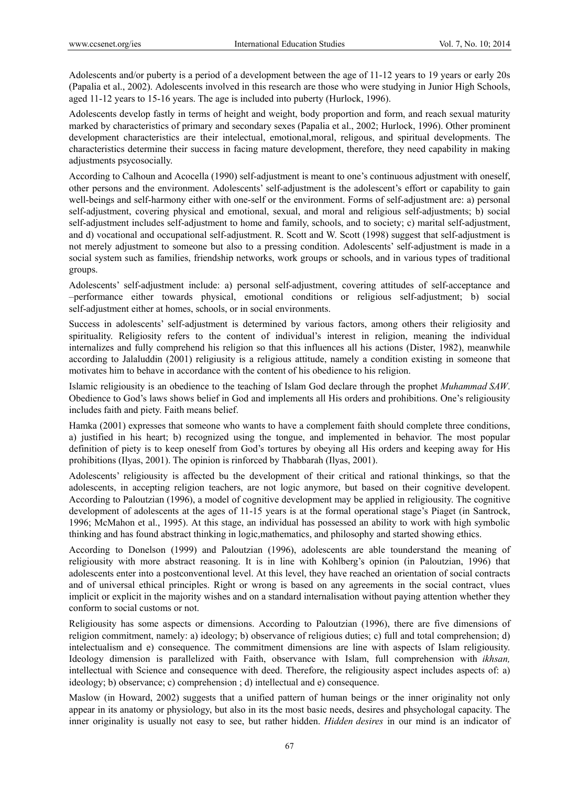Adolescents and/or puberty is a period of a development between the age of 11-12 years to 19 years or early 20s (Papalia et al., 2002). Adolescents involved in this research are those who were studying in Junior High Schools, aged 11-12 years to 15-16 years. The age is included into puberty (Hurlock, 1996).

Adolescents develop fastly in terms of height and weight, body proportion and form, and reach sexual maturity marked by characteristics of primary and secondary sexes (Papalia et al., 2002; Hurlock, 1996). Other prominent development characteristics are their intelectual, emotional,moral, religous, and spiritual developments. The characteristics determine their success in facing mature development, therefore, they need capability in making adjustments psycosocially.

According to Calhoun and Acocella (1990) self-adjustment is meant to one's continuous adjustment with oneself, other persons and the environment. Adolescents' self-adjustment is the adolescent's effort or capability to gain well-beings and self-harmony either with one-self or the environment. Forms of self-adjustment are: a) personal self-adjustment, covering physical and emotional, sexual, and moral and religious self-adjustments; b) social self-adjustment includes self-adjustment to home and family, schools, and to society; c) marital self-adjustment, and d) vocational and occupational self-adjustment. R. Scott and W. Scott (1998) suggest that self-adjustment is not merely adjustment to someone but also to a pressing condition. Adolescents' self-adjustment is made in a social system such as families, friendship networks, work groups or schools, and in various types of traditional groups.

Adolescents' self-adjustment include: a) personal self-adjustment, covering attitudes of self-acceptance and –performance either towards physical, emotional conditions or religious self-adjustment; b) social self-adjustment either at homes, schools, or in social environments.

Success in adolescents' self-adjustment is determined by various factors, among others their religiosity and spirituality. Religiosity refers to the content of individual's interest in religion, meaning the individual internalizes and fully comprehend his religion so that this influences all his actions (Dister, 1982), meanwhile according to Jalaluddin (2001) religiusity is a religious attitude, namely a condition existing in someone that motivates him to behave in accordance with the content of his obedience to his religion.

Islamic religiousity is an obedience to the teaching of Islam God declare through the prophet *Muhammad SAW*. Obedience to God's laws shows belief in God and implements all His orders and prohibitions. One's religiousity includes faith and piety. Faith means belief.

Hamka (2001) expresses that someone who wants to have a complement faith should complete three conditions, a) justified in his heart; b) recognized using the tongue, and implemented in behavior. The most popular definition of piety is to keep oneself from God's tortures by obeying all His orders and keeping away for His prohibitions (Ilyas, 2001). The opinion is rinforced by Thabbarah (Ilyas, 2001).

Adolescents' religiousity is affected bu the development of their critical and rational thinkings, so that the adolescents, in accepting religion teachers, are not logic anymore, but based on their cognitive developent. According to Paloutzian (1996), a model of cognitive development may be applied in religiousity. The cognitive development of adolescents at the ages of 11-15 years is at the formal operational stage's Piaget (in Santrock, 1996; McMahon et al., 1995). At this stage, an individual has possessed an ability to work with high symbolic thinking and has found abstract thinking in logic,mathematics, and philosophy and started showing ethics.

According to Donelson (1999) and Paloutzian (1996), adolescents are able tounderstand the meaning of religiousity with more abstract reasoning. It is in line with Kohlberg's opinion (in Paloutzian, 1996) that adolescents enter into a postconventional level. At this level, they have reached an orientation of social contracts and of universal ethical principles. Right or wrong is based on any agreements in the social contract, vlues implicit or explicit in the majority wishes and on a standard internalisation without paying attention whether they conform to social customs or not.

Religiousity has some aspects or dimensions. According to Paloutzian (1996), there are five dimensions of religion commitment, namely: a) ideology; b) observance of religious duties; c) full and total comprehension; d) intelectualism and e) consequence. The commitment dimensions are line with aspects of Islam religiousity. Ideology dimension is parallelized with Faith, observance with Islam, full comprehension with *ikhsan,*  intellectual with Science and consequence with deed. Therefore, the religiousity aspect includes aspects of: a) ideology; b) observance; c) comprehension ; d) intellectual and e) consequence.

Maslow (in Howard, 2002) suggests that a unified pattern of human beings or the inner originality not only appear in its anatomy or physiology, but also in its the most basic needs, desires and phsychologal capacity. The inner originality is usually not easy to see, but rather hidden. *Hidden desires* in our mind is an indicator of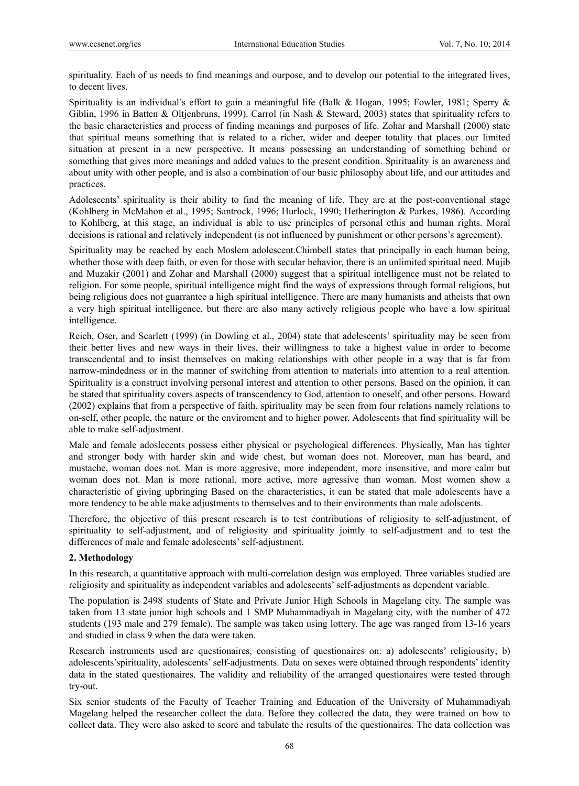spirituality. Each of us needs to find meanings and ourpose, and to develop our potential to the integrated lives, to decent lives.

Spirituality is an individual's effort to gain a meaningful life (Balk & Hogan, 1995; Fowler, 1981; Sperry & Giblin, 1996 in Batten & Oltjenbruns, 1999). Carrol (in Nash & Steward, 2003) states that spirituality refers to the basic characteristics and process of finding meanings and purposes of life. Zohar and Marshall (2000) state that spiritual means something that is related to a richer, wider and deeper totality that places our limited situation at present in a new perspective. It means possessing an understanding of something behind or something that gives more meanings and added values to the present condition. Spirituality is an awareness and about unity with other people, and is also a combination of our basic philosophy about life, and our attitudes and practices.

Adolescents' spirituality is their ability to find the meaning of life. They are at the post-conventional stage (Kohlberg in McMahon et al., 1995; Santrock, 1996; Hurlock, 1990; Hetherington & Parkes, 1986). According to Kohlberg, at this stage, an individual is able to use principles of personal ethis and human rights. Moral decisions is rational and relatively independent (is not influenced by punishment or other persons's agreement).

Spirituality may be reached by each Moslem adolescent.Chimbell states that principally in each human being, whether those with deep faith, or even for those with secular behavior, there is an unlimited spiritual need. Mujib and Muzakir (2001) and Zohar and Marshall (2000) suggest that a spiritual intelligence must not be related to religion. For some people, spiritual intelligence might find the ways of expressions through formal religions, but being religious does not guarrantee a high spiritual intelligence. There are many humanists and atheists that own a very high spiritual intelligence, but there are also many actively religious people who have a low spiritual intelligence.

Reich, Oser, and Scarlett (1999) (in Dowling et al., 2004) state that adelescents' spirituality may be seen from their better lives and new ways in their lives, their willingness to take a highest value in order to become transcendental and to insist themselves on making relationships with other people in a way that is far from narrow-mindedness or in the manner of switching from attention to materials into attention to a real attention. Spirituality is a construct involving personal interest and attention to other persons. Based on the opinion, it can be stated that spirituality covers aspects of transcendency to God, attention to oneself, and other persons. Howard (2002) explains that from a perspective of faith, spirituality may be seen from four relations namely relations to on-self, other people, the nature or the enviroment and to higher power. Adolescents that find spirituality will be able to make self-adjustment.

Male and female adoslecents possess either physical or psychological differences. Physically, Man has tighter and stronger body with harder skin and wide chest, but woman does not. Moreover, man has beard, and mustache, woman does not. Man is more aggresive, more independent, more insensitive, and more calm but woman does not. Man is more rational, more active, more agressive than woman. Most women show a characteristic of giving upbringing Based on the characteristics, it can be stated that male adolescents have a more tendency to be able make adjustments to themselves and to their environments than male adolscents.

Therefore, the objective of this present research is to test contributions of religiosity to self-adjustment, of spirituality to self-adjustment, and of religiosity and spirituality jointly to self-adjustment and to test the differences of male and female adolescents' self-adjustment.

#### **2. Methodology**

In this research, a quantitative approach with multi-correlation design was employed. Three variables studied are religiosity and spirituality as independent variables and adolescents' self-adjustments as dependent variable.

The population is 2498 students of State and Private Junior High Schools in Magelang city. The sample was taken from 13 state junior high schools and 1 SMP Muhammadiyah in Magelang city, with the number of 472 students (193 male and 279 female). The sample was taken using lottery. The age was ranged from 13-16 years and studied in class 9 when the data were taken.

Research instruments used are questionaires, consisting of questionaires on: a) adolescents' religiousity; b) adolescents'spirituality, adolescents' self-adjustments. Data on sexes were obtained through respondents' identity data in the stated questionaires. The validity and reliability of the arranged questionaires were tested through try-out.

Six senior students of the Faculty of Teacher Training and Education of the University of Muhammadiyah Magelang helped the researcher collect the data. Before they collected the data, they were trained on how to collect data. They were also asked to score and tabulate the results of the questionaires. The data collection was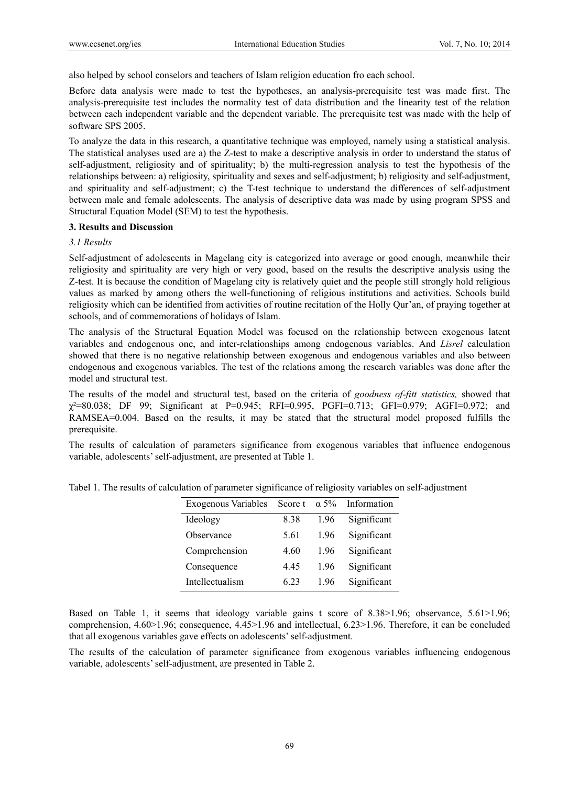also helped by school conselors and teachers of Islam religion education fro each school.

Before data analysis were made to test the hypotheses, an analysis-prerequisite test was made first. The analysis-prerequisite test includes the normality test of data distribution and the linearity test of the relation between each independent variable and the dependent variable. The prerequisite test was made with the help of software SPS 2005.

To analyze the data in this research, a quantitative technique was employed, namely using a statistical analysis. The statistical analyses used are a) the Z-test to make a descriptive analysis in order to understand the status of self-adjustment, religiosity and of spirituality; b) the multi-regression analysis to test the hypothesis of the relationships between: a) religiosity, spirituality and sexes and self-adjustment; b) religiosity and self-adjustment, and spirituality and self-adjustment; c) the T-test technique to understand the differences of self-adjustment between male and female adolescents. The analysis of descriptive data was made by using program SPSS and Structural Equation Model (SEM) to test the hypothesis.

#### **3. Results and Discussion**

### *3.1 Results*

Self-adjustment of adolescents in Magelang city is categorized into average or good enough, meanwhile their religiosity and spirituality are very high or very good, based on the results the descriptive analysis using the Z-test. It is because the condition of Magelang city is relatively quiet and the people still strongly hold religious values as marked by among others the well-functioning of religious institutions and activities. Schools build religiosity which can be identified from activities of routine recitation of the Holly Qur'an, of praying together at schools, and of commemorations of holidays of Islam.

The analysis of the Structural Equation Model was focused on the relationship between exogenous latent variables and endogenous one, and inter-relationships among endogenous variables. And *Lisrel* calculation showed that there is no negative relationship between exogenous and endogenous variables and also between endogenous and exogenous variables. The test of the relations among the research variables was done after the model and structural test.

The results of the model and structural test, based on the criteria of *goodness of-fitt statistics,* showed that  $\chi^2$ =80.038; DF 99; Significant at P=0.945; RFI=0.995, PGFI=0.713; GFI=0.979; AGFI=0.972; and RAMSEA=0.004. Based on the results, it may be stated that the structural model proposed fulfills the prerequisite.

The results of calculation of parameters significance from exogenous variables that influence endogenous variable, adolescents' self-adjustment, are presented at Table 1.

| Score t | $\alpha$ 5% | Information |
|---------|-------------|-------------|
| 8.38    | 1.96        | Significant |
| 5.61    | 1.96        | Significant |
| 4.60    | 1.96        | Significant |
| 445     | 1.96        | Significant |
| 623     | 1.96        | Significant |
|         |             |             |

Tabel 1. The results of calculation of parameter significance of religiosity variables on self-adjustment

Based on Table 1, it seems that ideology variable gains t score of 8.38>1.96; observance, 5.61>1.96; comprehension, 4.60>1.96; consequence, 4.45>1.96 and intellectual, 6.23>1.96. Therefore, it can be concluded that all exogenous variables gave effects on adolescents' self-adjustment.

The results of the calculation of parameter significance from exogenous variables influencing endogenous variable, adolescents' self-adjustment, are presented in Table 2.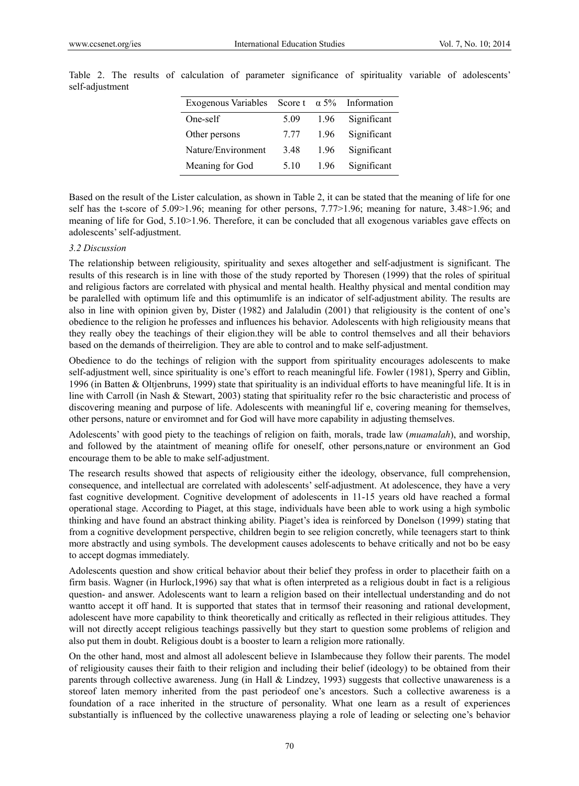| <b>Exogenous Variables</b> | Score t | $\alpha$ 5% | Information |
|----------------------------|---------|-------------|-------------|
| One-self                   | 5.09    | 1.96        | Significant |
| Other persons              | 7 77    | 196         | Significant |
| Nature/Environment         | 3.48    | 196         | Significant |
| Meaning for God            | 5.10    | 196         | Significant |

Table 2. The results of calculation of parameter significance of spirituality variable of adolescents' self-adjustment

Based on the result of the Lister calculation, as shown in Table 2, it can be stated that the meaning of life for one self has the t-score of 5.09>1.96; meaning for other persons, 7.77>1.96; meaning for nature, 3.48>1.96; and meaning of life for God, 5.10>1.96. Therefore, it can be concluded that all exogenous variables gave effects on adolescents' self-adjustment.

#### *3.2 Discussion*

The relationship between religiousity, spirituality and sexes altogether and self-adjustment is significant. The results of this research is in line with those of the study reported by Thoresen (1999) that the roles of spiritual and religious factors are correlated with physical and mental health. Healthy physical and mental condition may be paralelled with optimum life and this optimumlife is an indicator of self-adjustment ability. The results are also in line with opinion given by, Dister (1982) and Jalaludin (2001) that religiousity is the content of one's obedience to the religion he professes and influences his behavior. Adolescents with high religiousity means that they really obey the teachings of their eligion.they will be able to control themselves and all their behaviors based on the demands of theirreligion. They are able to control and to make self-adjustment.

Obedience to do the techings of religion with the support from spirituality encourages adolescents to make self-adjustment well, since spirituality is one's effort to reach meaningful life. Fowler (1981), Sperry and Giblin, 1996 (in Batten & Oltjenbruns, 1999) state that spirituality is an individual efforts to have meaningful life. It is in line with Carroll (in Nash & Stewart, 2003) stating that spirituality refer ro the bsic characteristic and process of discovering meaning and purpose of life. Adolescents with meaningful lif e, covering meaning for themselves, other persons, nature or enviromnet and for God will have more capability in adjusting themselves.

Adolescents' with good piety to the teachings of religion on faith, morals, trade law (*muamalah*), and worship, and followed by the ataintment of meaning oflife for oneself, other persons,nature or environment an God encourage them to be able to make self-adjustment.

The research results showed that aspects of religiousity either the ideology, observance, full comprehension, consequence, and intellectual are correlated with adolescents' self-adjustment. At adolescence, they have a very fast cognitive development. Cognitive development of adolescents in 11-15 years old have reached a formal operational stage. According to Piaget, at this stage, individuals have been able to work using a high symbolic thinking and have found an abstract thinking ability. Piaget's idea is reinforced by Donelson (1999) stating that from a cognitive development perspective, children begin to see religion concretly, while teenagers start to think more abstractly and using symbols. The development causes adolescents to behave critically and not bo be easy to accept dogmas immediately.

Adolescents question and show critical behavior about their belief they profess in order to placetheir faith on a firm basis. Wagner (in Hurlock,1996) say that what is often interpreted as a religious doubt in fact is a religious question- and answer. Adolescents want to learn a religion based on their intellectual understanding and do not wantto accept it off hand. It is supported that states that in termsof their reasoning and rational development, adolescent have more capability to think theoretically and critically as reflected in their religious attitudes. They will not directly accept religious teachings passivelly but they start to question some problems of religion and also put them in doubt. Religious doubt is a booster to learn a religion more rationally.

On the other hand, most and almost all adolescent believe in Islambecause they follow their parents. The model of religiousity causes their faith to their religion and including their belief (ideology) to be obtained from their parents through collective awareness. Jung (in Hall & Lindzey, 1993) suggests that collective unawareness is a storeof laten memory inherited from the past periodeof one's ancestors. Such a collective awareness is a foundation of a race inherited in the structure of personality. What one learn as a result of experiences substantially is influenced by the collective unawareness playing a role of leading or selecting one's behavior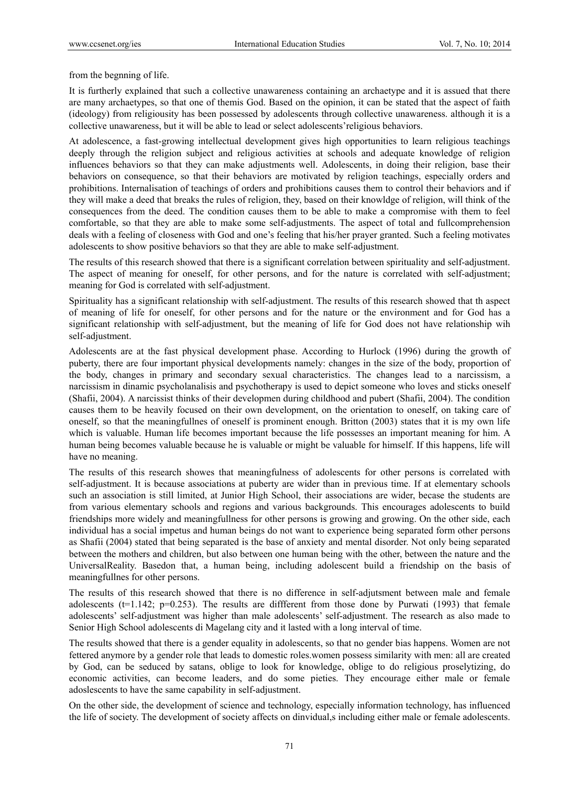from the begnning of life.

It is furtherly explained that such a collective unawareness containing an archaetype and it is assued that there are many archaetypes, so that one of themis God. Based on the opinion, it can be stated that the aspect of faith (ideology) from religiousity has been possessed by adolescents through collective unawareness. although it is a collective unawareness, but it will be able to lead or select adolescents'religious behaviors.

At adolescence, a fast-growing intellectual development gives high opportunities to learn religious teachings deeply through the religion subject and religious activities at schools and adequate knowledge of religion influences behaviors so that they can make adjustments well. Adolescents, in doing their religion, base their behaviors on consequence, so that their behaviors are motivated by religion teachings, especially orders and prohibitions. Internalisation of teachings of orders and prohibitions causes them to control their behaviors and if they will make a deed that breaks the rules of religion, they, based on their knowldge of religion, will think of the consequences from the deed. The condition causes them to be able to make a compromise with them to feel comfortable, so that they are able to make some self-adjustments. The aspect of total and fullcomprehension deals with a feeling of closeness with God and one's feeling that his/her prayer granted. Such a feeling motivates adolescents to show positive behaviors so that they are able to make self-adjustment.

The results of this research showed that there is a significant correlation between spirituality and self-adjustment. The aspect of meaning for oneself, for other persons, and for the nature is correlated with self-adjustment; meaning for God is correlated with self-adjustment.

Spirituality has a significant relationship with self-adjustment. The results of this research showed that th aspect of meaning of life for oneself, for other persons and for the nature or the environment and for God has a significant relationship with self-adjustment, but the meaning of life for God does not have relationship wih self-adjustment.

Adolescents are at the fast physical development phase. According to Hurlock (1996) during the growth of puberty, there are four important physical developments namely: changes in the size of the body, proportion of the body, changes in primary and secondary sexual characteristics. The changes lead to a narcissism, a narcissism in dinamic psycholanalisis and psychotherapy is used to depict someone who loves and sticks oneself (Shafii, 2004). A narcissist thinks of their developmen during childhood and pubert (Shafii, 2004). The condition causes them to be heavily focused on their own development, on the orientation to oneself, on taking care of oneself, so that the meaningfullnes of oneself is prominent enough. Britton (2003) states that it is my own life which is valuable. Human life becomes important because the life possesses an important meaning for him. A human being becomes valuable because he is valuable or might be valuable for himself. If this happens, life will have no meaning.

The results of this research showes that meaningfulness of adolescents for other persons is correlated with self-adjustment. It is because associations at puberty are wider than in previous time. If at elementary schools such an association is still limited, at Junior High School, their associations are wider, becase the students are from various elementary schools and regions and various backgrounds. This encourages adolescents to build friendships more widely and meaningfullness for other persons is growing and growing. On the other side, each individual has a social impetus and human beings do not want to experience being separated form other persons as Shafii (2004) stated that being separated is the base of anxiety and mental disorder. Not only being separated between the mothers and children, but also between one human being with the other, between the nature and the UniversalReality. Basedon that, a human being, including adolescent build a friendship on the basis of meaningfullnes for other persons.

The results of this research showed that there is no difference in self-adjutsment between male and female adolescents ( $t=1.142$ ;  $p=0.253$ ). The results are different from those done by Purwati (1993) that female adolescents' self-adjustment was higher than male adolescents' self-adjustment. The research as also made to Senior High School adolescents di Magelang city and it lasted with a long interval of time.

The results showed that there is a gender equality in adolescents, so that no gender bias happens. Women are not fettered anymore by a gender role that leads to domestic roles.women possess similarity with men: all are created by God, can be seduced by satans, oblige to look for knowledge, oblige to do religious proselytizing, do economic activities, can become leaders, and do some pieties. They encourage either male or female adoslescents to have the same capability in self-adjustment.

On the other side, the development of science and technology, especially information technology, has influenced the life of society. The development of society affects on dinvidual,s including either male or female adolescents.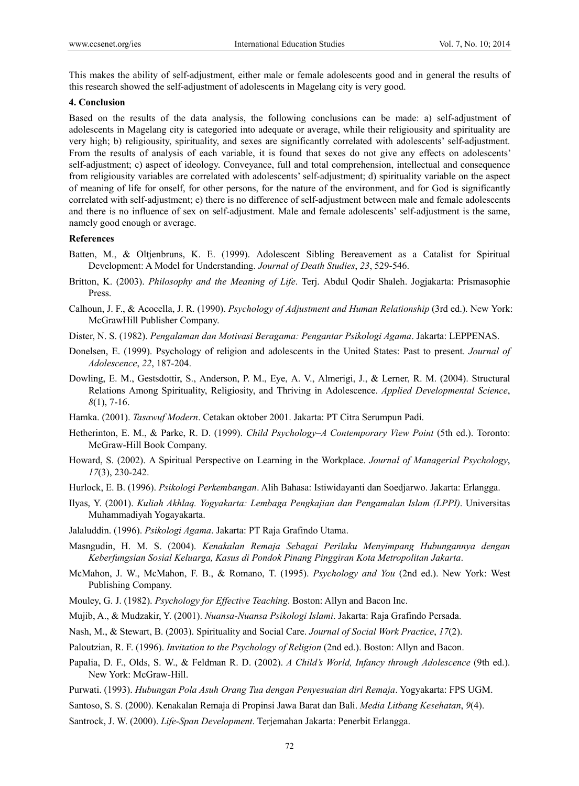This makes the ability of self-adjustment, either male or female adolescents good and in general the results of this research showed the self-adjustment of adolescents in Magelang city is very good.

#### **4. Conclusion**

Based on the results of the data analysis, the following conclusions can be made: a) self-adjustment of adolescents in Magelang city is categoried into adequate or average, while their religiousity and spirituality are very high; b) religiousity, spirituality, and sexes are significantly correlated with adolescents' self-adjustment. From the results of analysis of each variable, it is found that sexes do not give any effects on adolescents' self-adjustment; c) aspect of ideology. Conveyance, full and total comprehension, intellectual and consequence from religiousity variables are correlated with adolescents' self-adjustment; d) spirituality variable on the aspect of meaning of life for onself, for other persons, for the nature of the environment, and for God is significantly correlated with self-adjustment; e) there is no difference of self-adjustment between male and female adolescents and there is no influence of sex on self-adjustment. Male and female adolescents' self-adjustment is the same, namely good enough or average.

#### **References**

- Batten, M., & Oltjenbruns, K. E. (1999). Adolescent Sibling Bereavement as a Catalist for Spiritual Development: A Model for Understanding. *Journal of Death Studies*, *23*, 529-546.
- Britton, K. (2003). *Philosophy and the Meaning of Life*. Terj. Abdul Qodir Shaleh. Jogjakarta: Prismasophie Press.
- Calhoun, J. F., & Acocella, J. R. (1990). *Psychology of Adjustment and Human Relationship* (3rd ed.). New York: McGrawHill Publisher Company.
- Dister, N. S. (1982). *Pengalaman dan Motivasi Beragama: Pengantar Psikologi Agama*. Jakarta: LEPPENAS.
- Donelsen, E. (1999). Psychology of religion and adolescents in the United States: Past to present. *Journal of Adolescence*, *22*, 187-204.
- Dowling, E. M., Gestsdottir, S., Anderson, P. M., Eye, A. V., Almerigi, J., & Lerner, R. M. (2004). Structural Relations Among Spirituality, Religiosity, and Thriving in Adolescence. *Applied Developmental Science*, *8*(1), 7-16.
- Hamka. (2001). *Tasawuf Modern*. Cetakan oktober 2001. Jakarta: PT Citra Serumpun Padi.
- Hetherinton, E. M., & Parke, R. D. (1999). *Child Psychology–A Contemporary View Point* (5th ed.). Toronto: McGraw-Hill Book Company.
- Howard, S. (2002). A Spiritual Perspective on Learning in the Workplace. *Journal of Managerial Psychology*, *17*(3), 230-242.
- Hurlock, E. B. (1996). *Psikologi Perkembangan*. Alih Bahasa: Istiwidayanti dan Soedjarwo. Jakarta: Erlangga.
- Ilyas, Y. (2001). *Kuliah Akhlaq. Yogyakarta: Lembaga Pengkajian dan Pengamalan Islam (LPPI)*. Universitas Muhammadiyah Yogayakarta.
- Jalaluddin. (1996). *Psikologi Agama*. Jakarta: PT Raja Grafindo Utama.
- Masngudin, H. M. S. (2004). *Kenakalan Remaja Sebagai Perilaku Menyimpang Hubungannya dengan Keberfungsian Sosial Keluarga, Kasus di Pondok Pinang Pinggiran Kota Metropolitan Jakarta*.
- McMahon, J. W., McMahon, F. B., & Romano, T. (1995). *Psychology and You* (2nd ed.). New York: West Publishing Company.
- Mouley, G. J. (1982). *Psychology for Effective Teaching*. Boston: Allyn and Bacon Inc.
- Mujib, A., & Mudzakir, Y. (2001). *Nuansa-Nuansa Psikologi Islami*. Jakarta: Raja Grafindo Persada.
- Nash, M., & Stewart, B. (2003). Spirituality and Social Care. *Journal of Social Work Practice*, *17*(2).
- Paloutzian, R. F. (1996). *Invitation to the Psychology of Religion* (2nd ed.). Boston: Allyn and Bacon.
- Papalia, D. F., Olds, S. W., & Feldman R. D. (2002). *A Child's World, Infancy through Adolescence* (9th ed.). New York: McGraw-Hill.
- Purwati. (1993). *Hubungan Pola Asuh Orang Tua dengan Penyesuaian diri Remaja*. Yogyakarta: FPS UGM.
- Santoso, S. S. (2000). Kenakalan Remaja di Propinsi Jawa Barat dan Bali. *Media Litbang Kesehatan*, *9*(4).
- Santrock, J. W. (2000). *Life-Span Development*. Terjemahan Jakarta: Penerbit Erlangga.